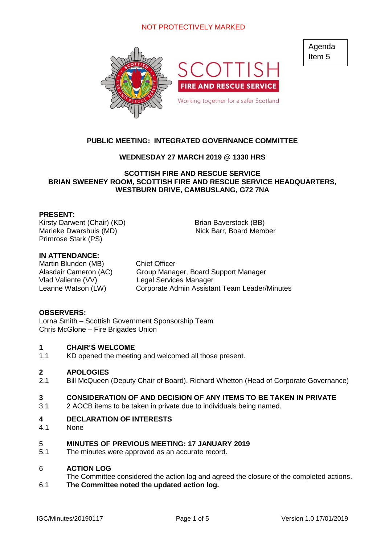# NOT PROTECTIVELY MARKED



Agenda Item 5

# **PUBLIC MEETING: INTEGRATED GOVERNANCE COMMITTEE**

### **WEDNESDAY 27 MARCH 2019 @ 1330 HRS**

### **SCOTTISH FIRE AND RESCUE SERVICE BRIAN SWEENEY ROOM, SCOTTISH FIRE AND RESCUE SERVICE HEADQUARTERS, WESTBURN DRIVE, CAMBUSLANG, G72 7NA**

### **PRESENT:**

Kirsty Darwent (Chair) (KD) Brian Baverstock (BB) Marieke Dwarshuis (MD) Nick Barr, Board Member Primrose Stark (PS)

### **IN ATTENDANCE:**

Martin Blunden (MB) Chief Officer

Alasdair Cameron (AC) Group Manager, Board Support Manager Vlad Valiente (VV) Legal Services Manager Leanne Watson (LW) Corporate Admin Assistant Team Leader/Minutes

### **OBSERVERS:**

Lorna Smith – Scottish Government Sponsorship Team Chris McGlone – Fire Brigades Union

#### **1 CHAIR'S WELCOME**

1.1 KD opened the meeting and welcomed all those present.

#### **2 APOLOGIES**

2.1 Bill McQueen (Deputy Chair of Board), Richard Whetton (Head of Corporate Governance)

#### **3 CONSIDERATION OF AND DECISION OF ANY ITEMS TO BE TAKEN IN PRIVATE**

3.1 2 AOCB items to be taken in private due to individuals being named.

#### **4 DECLARATION OF INTERESTS**

4.1 **None** 

#### 5 **MINUTES OF PREVIOUS MEETING: 17 JANUARY 2019**

5.1 The minutes were approved as an accurate record.

#### 6 **ACTION LOG**

- The Committee considered the action log and agreed the closure of the completed actions.
- 6.1 **The Committee noted the updated action log.**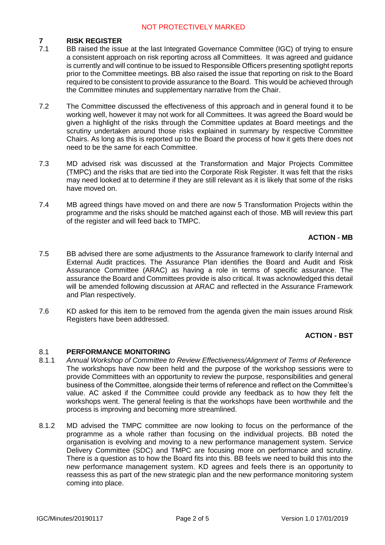# NOT PROTECTIVELY MARKED

#### **7 RISK REGISTER**

- 7.1 BB raised the issue at the last Integrated Governance Committee (IGC) of trying to ensure a consistent approach on risk reporting across all Committees. It was agreed and guidance is currently and will continue to be issued to Responsible Officers presenting spotlight reports prior to the Committee meetings. BB also raised the issue that reporting on risk to the Board required to be consistent to provide assurance to the Board. This would be achieved through the Committee minutes and supplementary narrative from the Chair.
- 7.2 The Committee discussed the effectiveness of this approach and in general found it to be working well, however it may not work for all Committees. It was agreed the Board would be given a highlight of the risks through the Committee updates at Board meetings and the scrutiny undertaken around those risks explained in summary by respective Committee Chairs. As long as this is reported up to the Board the process of how it gets there does not need to be the same for each Committee.
- 7.3 MD advised risk was discussed at the Transformation and Major Projects Committee (TMPC) and the risks that are tied into the Corporate Risk Register. It was felt that the risks may need looked at to determine if they are still relevant as it is likely that some of the risks have moved on.
- 7.4 MB agreed things have moved on and there are now 5 Transformation Projects within the programme and the risks should be matched against each of those. MB will review this part of the register and will feed back to TMPC.

## **ACTION - MB**

- 7.5 BB advised there are some adjustments to the Assurance framework to clarify Internal and External Audit practices. The Assurance Plan identifies the Board and Audit and Risk Assurance Committee (ARAC) as having a role in terms of specific assurance. The assurance the Board and Committees provide is also critical. It was acknowledged this detail will be amended following discussion at ARAC and reflected in the Assurance Framework and Plan respectively.
- 7.6 KD asked for this item to be removed from the agenda given the main issues around Risk Registers have been addressed.

## **ACTION - BST**

#### 8.1 **PERFORMANCE MONITORING**

- 8.1.1 *Annual Workshop of Committee to Review Effectiveness/Alignment of Terms of Reference* The workshops have now been held and the purpose of the workshop sessions were to provide Committees with an opportunity to review the purpose, responsibilities and general business of the Committee, alongside their terms of reference and reflect on the Committee's value. AC asked if the Committee could provide any feedback as to how they felt the workshops went. The general feeling is that the workshops have been worthwhile and the process is improving and becoming more streamlined.
- 8.1.2 MD advised the TMPC committee are now looking to focus on the performance of the programme as a whole rather than focusing on the individual projects. BB noted the organisation is evolving and moving to a new performance management system. Service Delivery Committee (SDC) and TMPC are focusing more on performance and scrutiny. There is a question as to how the Board fits into this. BB feels we need to build this into the new performance management system. KD agrees and feels there is an opportunity to reassess this as part of the new strategic plan and the new performance monitoring system coming into place.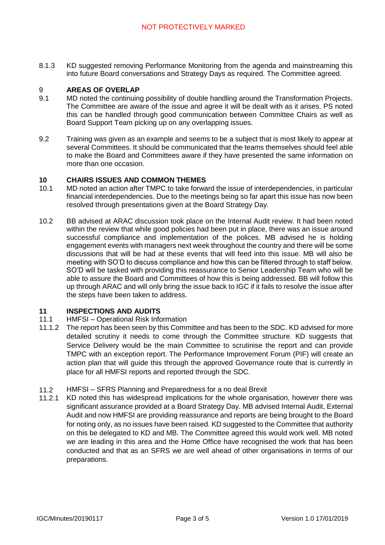8.1.3 KD suggested removing Performance Monitoring from the agenda and mainstreaming this into future Board conversations and Strategy Days as required. The Committee agreed.

#### 9 **AREAS OF OVERLAP**

- 9.1 MD noted the continuing possibility of double handling around the Transformation Projects. The Committee are aware of the issue and agree it will be dealt with as it arises. PS noted this can be handled through good communication between Committee Chairs as well as Board Support Team picking up on any overlapping issues.
- 9.2 Training was given as an example and seems to be a subject that is most likely to appear at several Committees. It should be communicated that the teams themselves should feel able to make the Board and Committees aware if they have presented the same information on more than one occasion.

#### **10 CHAIRS ISSUES AND COMMON THEMES**

- 10.1 MD noted an action after TMPC to take forward the issue of interdependencies, in particular financial interdependencies. Due to the meetings being so far apart this issue has now been resolved through presentations given at the Board Strategy Day.
- 10.2 BB advised at ARAC discussion took place on the Internal Audit review. It had been noted within the review that while good policies had been put in place, there was an issue around successful compliance and implementation of the polices. MB advised he is holding engagement events with managers next week throughout the country and there will be some discussions that will be had at these events that will feed into this issue. MB will also be meeting with SO'D to discuss compliance and how this can be filtered through to staff below. SO'D will be tasked with providing this reassurance to Senior Leadership Team who will be able to assure the Board and Committees of how this is being addressed. BB will follow this up through ARAC and will only bring the issue back to IGC if it fails to resolve the issue after the steps have been taken to address.

#### **11 INSPECTIONS AND AUDITS**

- 11.1 HMFSI – Operational Risk Information
- 11.1.2 The report has been seen by this Committee and has been to the SDC. KD advised for more detailed scrutiny it needs to come through the Committee structure. KD suggests that Service Delivery would be the main Committee to scrutinise the report and can provide TMPC with an exception report. The Performance Improvement Forum (PIF) will create an action plan that will guide this through the approved Governance route that is currently in place for all HMFSI reports and reported through the SDC.
- 11.2 HMFSI – SFRS Planning and Preparedness for a no deal Brexit
- 11.2.1 KD noted this has widespread implications for the whole organisation, however there was significant assurance provided at a Board Strategy Day. MB advised Internal Audit, External Audit and now HMFSI are providing reassurance and reports are being brought to the Board for noting only, as no issues have been raised. KD suggested to the Committee that authority on this be delegated to KD and MB. The Committee agreed this would work well. MB noted we are leading in this area and the Home Office have recognised the work that has been conducted and that as an SFRS we are well ahead of other organisations in terms of our preparations.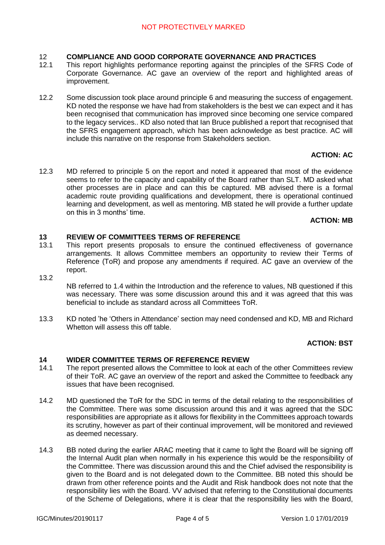#### 12 **COMPLIANCE AND GOOD CORPORATE GOVERNANCE AND PRACTICES**

- 12.1 This report highlights performance reporting against the principles of the SFRS Code of Corporate Governance. AC gave an overview of the report and highlighted areas of improvement.
- 12.2 Some discussion took place around principle 6 and measuring the success of engagement. KD noted the response we have had from stakeholders is the best we can expect and it has been recognised that communication has improved since becoming one service compared to the legacy services.. KD also noted that Ian Bruce published a report that recognised that the SFRS engagement approach, which has been acknowledge as best practice. AC will include this narrative on the response from Stakeholders section.

# **ACTION: AC**

12.3 MD referred to principle 5 on the report and noted it appeared that most of the evidence seems to refer to the capacity and capability of the Board rather than SLT. MD asked what other processes are in place and can this be captured. MB advised there is a formal academic route providing qualifications and development, there is operational continued learning and development, as well as mentoring. MB stated he will provide a further update on this in 3 months' time.

### **ACTION: MB**

#### **13 REVIEW OF COMMITTEES TERMS OF REFERENCE**

- 13.1 This report presents proposals to ensure the continued effectiveness of governance arrangements. It allows Committee members an opportunity to review their Terms of Reference (ToR) and propose any amendments if required. AC gave an overview of the report.
- 13.2

NB referred to 1.4 within the Introduction and the reference to values, NB questioned if this was necessary. There was some discussion around this and it was agreed that this was beneficial to include as standard across all Committees ToR.

13.3 KD noted 'he 'Others in Attendance' section may need condensed and KD, MB and Richard Whetton will assess this off table.

## **ACTION: BST**

#### **14 WIDER COMMITTEE TERMS OF REFERENCE REVIEW**

- 14.1 The report presented allows the Committee to look at each of the other Committees review of their ToR. AC gave an overview of the report and asked the Committee to feedback any issues that have been recognised.
- 14.2 MD questioned the ToR for the SDC in terms of the detail relating to the responsibilities of the Committee. There was some discussion around this and it was agreed that the SDC responsibilities are appropriate as it allows for flexibility in the Committees approach towards its scrutiny, however as part of their continual improvement, will be monitored and reviewed as deemed necessary.
- 14.3 BB noted during the earlier ARAC meeting that it came to light the Board will be signing off the Internal Audit plan when normally in his experience this would be the responsibility of the Committee. There was discussion around this and the Chief advised the responsibility is given to the Board and is not delegated down to the Committee. BB noted this should be drawn from other reference points and the Audit and Risk handbook does not note that the responsibility lies with the Board. VV advised that referring to the Constitutional documents of the Scheme of Delegations, where it is clear that the responsibility lies with the Board,